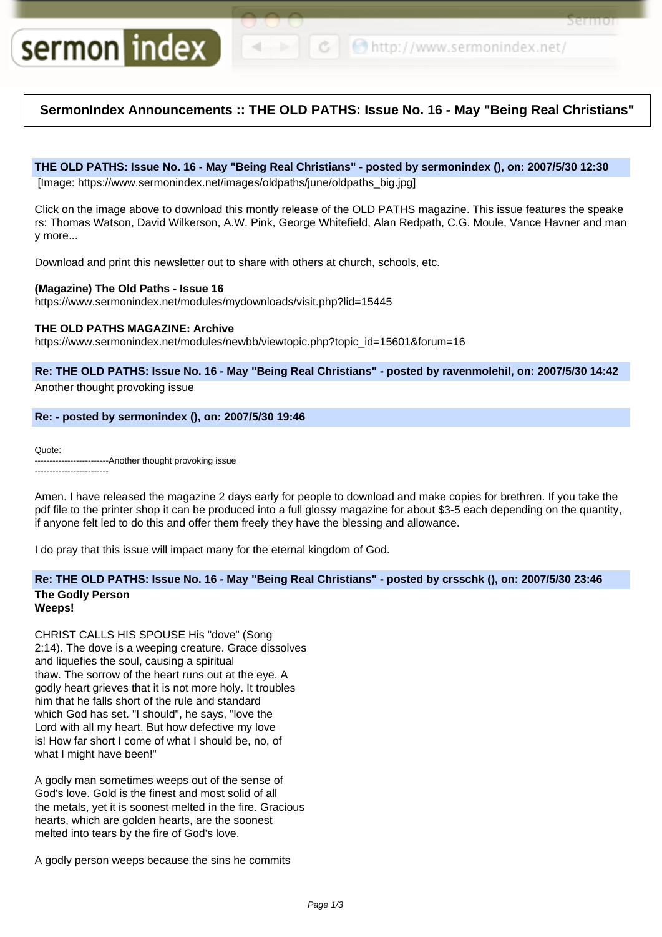```
← ● http://www.sermonindex.net/
```
Sermoi

# **SermonIndex Announcements :: THE OLD PATHS: Issue No. 16 - May "Being Real Christians"**

### **THE OLD PATHS: Issue No. 16 - May "Being Real Christians" - posted by sermonindex (), on: 2007/5/30 12:30**

[Image: https://www.sermonindex.net/images/oldpaths/june/oldpaths\_big.jpg]

Click on the image above to download this montly release of the OLD PATHS magazine. This issue features the speake rs: Thomas Watson, David Wilkerson, A.W. Pink, George Whitefield, Alan Redpath, C.G. Moule, Vance Havner and man y more...

Download and print this newsletter out to share with others at church, schools, etc.

## **(Magazine) The Old Paths - Issue 16**

sermon index

https://www.sermonindex.net/modules/mydownloads/visit.php?lid=15445

### **THE OLD PATHS MAGAZINE: Archive**

https://www.sermonindex.net/modules/newbb/viewtopic.php?topic\_id=15601&forum=16

**Re: THE OLD PATHS: Issue No. 16 - May "Being Real Christians" - posted by ravenmolehil, on: 2007/5/30 14:42** Another thought provoking issue

## **Re: - posted by sermonindex (), on: 2007/5/30 19:46**

Quote:

-------------------------Another thought provoking issue -------------------------

Amen. I have released the magazine 2 days early for people to download and make copies for brethren. If you take the pdf file to the printer shop it can be produced into a full glossy magazine for about \$3-5 each depending on the quantity, if anyone felt led to do this and offer them freely they have the blessing and allowance.

I do pray that this issue will impact many for the eternal kingdom of God.

# **Re: THE OLD PATHS: Issue No. 16 - May "Being Real Christians" - posted by crsschk (), on: 2007/5/30 23:46**

#### **The Godly Person Weeps!**

CHRIST CALLS HIS SPOUSE His "dove" (Song 2:14). The dove is a weeping creature. Grace dissolves and liquefies the soul, causing a spiritual thaw. The sorrow of the heart runs out at the eye. A godly heart grieves that it is not more holy. It troubles him that he falls short of the rule and standard which God has set. "I should", he says, "love the Lord with all my heart. But how defective my love is! How far short I come of what I should be, no, of what I might have been!"

A godly man sometimes weeps out of the sense of God's love. Gold is the finest and most solid of all the metals, yet it is soonest melted in the fire. Gracious hearts, which are golden hearts, are the soonest melted into tears by the fire of God's love.

A godly person weeps because the sins he commits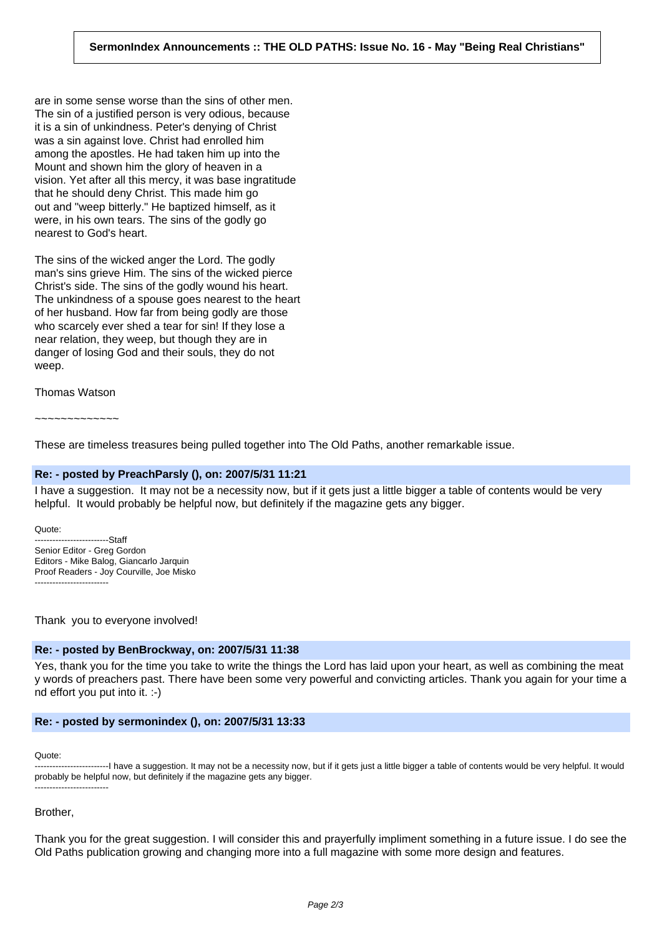are in some sense worse than the sins of other men. The sin of a justified person is very odious, because it is a sin of unkindness. Peter's denying of Christ was a sin against love. Christ had enrolled him among the apostles. He had taken him up into the Mount and shown him the glory of heaven in a vision. Yet after all this mercy, it was base ingratitude that he should deny Christ. This made him go out and "weep bitterly." He baptized himself, as it were, in his own tears. The sins of the godly go nearest to God's heart.

The sins of the wicked anger the Lord. The godly man's sins grieve Him. The sins of the wicked pierce Christ's side. The sins of the godly wound his heart. The unkindness of a spouse goes nearest to the heart of her husband. How far from being godly are those who scarcely ever shed a tear for sin! If they lose a near relation, they weep, but though they are in danger of losing God and their souls, they do not weep.

Thomas Watson

~~~~~~~~~~~~~

These are timeless treasures being pulled together into The Old Paths, another remarkable issue.

### **Re: - posted by PreachParsly (), on: 2007/5/31 11:21**

I have a suggestion. It may not be a necessity now, but if it gets just a little bigger a table of contents would be very helpful. It would probably be helpful now, but definitely if the magazine gets any bigger.

Quote: -------------------------Staff Senior Editor - Greg Gordon Editors - Mike Balog, Giancarlo Jarquin Proof Readers - Joy Courville, Joe Misko -------------------------

Thank you to everyone involved!

### **Re: - posted by BenBrockway, on: 2007/5/31 11:38**

Yes, thank you for the time you take to write the things the Lord has laid upon your heart, as well as combining the meat y words of preachers past. There have been some very powerful and convicting articles. Thank you again for your time a nd effort you put into it. :-)

### **Re: - posted by sermonindex (), on: 2007/5/31 13:33**

Quote:

-------------------------I have a suggestion. It may not be a necessity now, but if it gets just a little bigger a table of contents would be very helpful. It would probably be helpful now, but definitely if the magazine gets any bigger. -------------------------

### Brother,

Thank you for the great suggestion. I will consider this and prayerfully impliment something in a future issue. I do see the Old Paths publication growing and changing more into a full magazine with some more design and features.